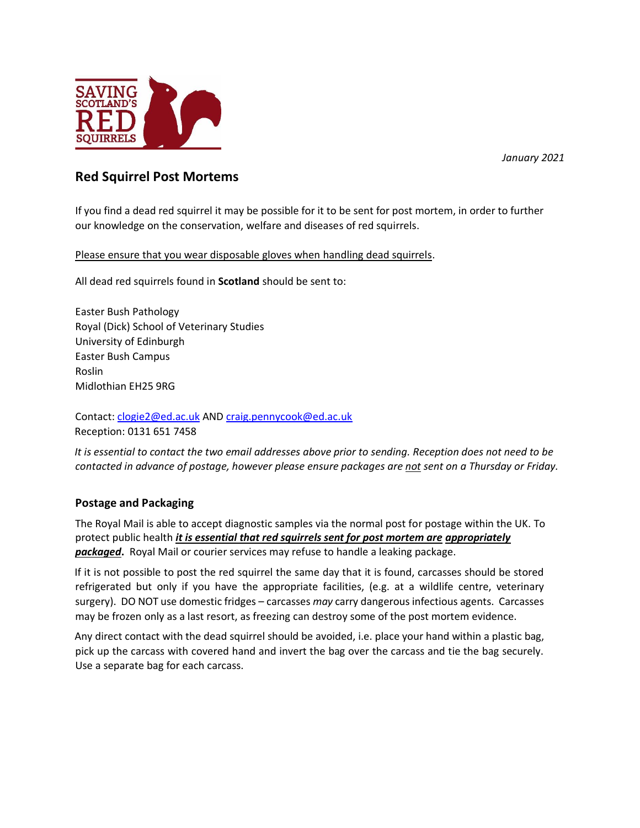

*January 2021*

## **Red Squirrel Post Mortems**

If you find a dead red squirrel it may be possible for it to be sent for post mortem, in order to further our knowledge on the conservation, welfare and diseases of red squirrels.

Please ensure that you wear disposable gloves when handling dead squirrels.

All dead red squirrels found in **Scotland** should be sent to:

Easter Bush Pathology Royal (Dick) School of Veterinary Studies University of Edinburgh Easter Bush Campus Roslin Midlothian EH25 9RG

Contact: [clogie2@ed.ac.uk](mailto:clogie2@ed.ac.uk) AND [craig.pennycook@ed.ac.uk](mailto:craig.pennycook@ed.ac.uk) Reception: 0131 651 7458

*It is essential to contact the two email addresses above prior to sending. Reception does not need to be contacted in advance of postage, however please ensure packages are not sent on a Thursday or Friday.* 

## **Postage and Packaging**

The Royal Mail is able to accept diagnostic samples via the normal post for postage within the UK. To protect public health *it is essential that red squirrels sent for post mortem are appropriately packaged***.** Royal Mail or courier services may refuse to handle a leaking package.

If it is not possible to post the red squirrel the same day that it is found, carcasses should be stored refrigerated but only if you have the appropriate facilities, (e.g. at a wildlife centre, veterinary surgery). DO NOT use domestic fridges – carcasses *may* carry dangerous infectious agents. Carcasses may be frozen only as a last resort, as freezing can destroy some of the post mortem evidence.

Any direct contact with the dead squirrel should be avoided, i.e. place your hand within a plastic bag, pick up the carcass with covered hand and invert the bag over the carcass and tie the bag securely. Use a separate bag for each carcass.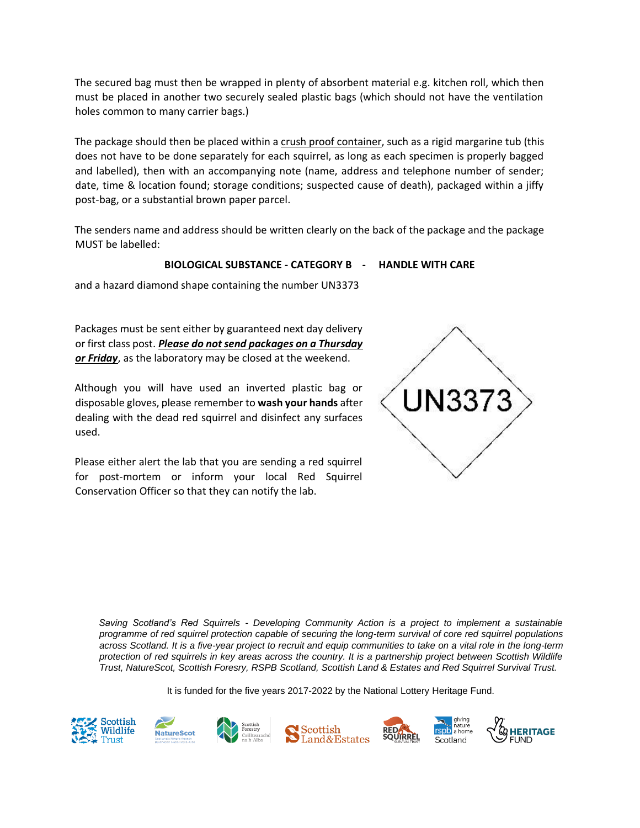The secured bag must then be wrapped in plenty of absorbent material e.g. kitchen roll, which then must be placed in another two securely sealed plastic bags (which should not have the ventilation holes common to many carrier bags.)

The package should then be placed within a crush proof container, such as a rigid margarine tub (this does not have to be done separately for each squirrel, as long as each specimen is properly bagged and labelled), then with an accompanying note (name, address and telephone number of sender; date, time & location found; storage conditions; suspected cause of death), packaged within a jiffy post-bag, or a substantial brown paper parcel.

The senders name and address should be written clearly on the back of the package and the package MUST be labelled:

## **BIOLOGICAL SUBSTANCE - CATEGORY B - HANDLE WITH CARE**

and a hazard diamond shape containing the number UN3373

Packages must be sent either by guaranteed next day delivery or first class post. *Please do not send packages on a Thursday or Friday*, as the laboratory may be closed at the weekend.

Although you will have used an inverted plastic bag or disposable gloves, please remember to **wash your hands** after dealing with the dead red squirrel and disinfect any surfaces used.

Please either alert the lab that you are sending a red squirrel for post-mortem or inform your local Red Squirrel Conservation Officer so that they can notify the lab.



*Saving Scotland's Red Squirrels - Developing Community Action is a project to implement a sustainable programme of red squirrel protection capable of securing the long-term survival of core red squirrel populations across Scotland. It is a five-year project to recruit and equip communities to take on a vital role in the long-term protection of red squirrels in key areas across the country. It is a partnership project between Scottish Wildlife Trust, NatureScot, Scottish Foresry, RSPB Scotland, Scottish Land & Estates and Red Squirrel Survival Trust.* 

It is funded for the five years 2017-2022 by the National Lottery Heritage Fund.